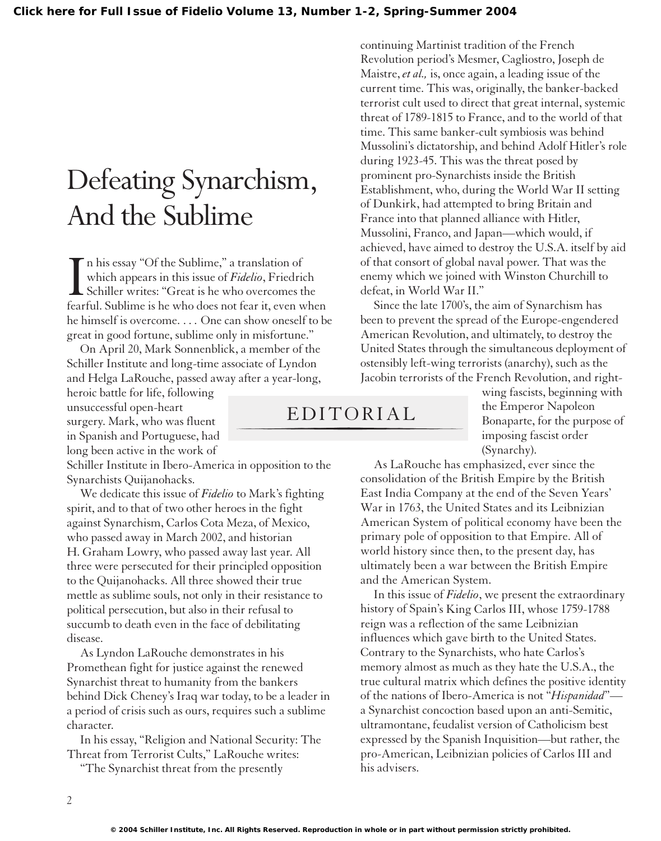## Defeating Synarchism, And the Sublime

In his essay "Of the Sublime," a translation of<br>which appears in this issue of *Fidelio*, Friedrich<br>Schiller writes: "Great is he who overcomes the<br>fearful. Sublime is he who does not fear it, even when n his essay "Of the Sublime," a translation of which appears in this issue of *Fidelio*, Friedrich Schiller writes: "Great is he who overcomes the he himself is overcome. . . . One can show oneself to be great in good fortune, sublime only in misfortune."

On April 20, Mark Sonnenblick, a member of the Schiller Institute and long-time associate of Lyndon and Helga LaRouche, passed away after a year-long,

heroic battle for life, following unsuccessful open-heart surgery. Mark, who was fluent in Spanish and Portuguese, had long been active in the work of

Schiller Institute in Ibero-America in opposition to the Synarchists Quijanohacks.

We dedicate this issue of *Fidelio* to Mark's fighting spirit, and to that of two other heroes in the fight against Synarchism, Carlos Cota Meza, of Mexico, who passed away in March 2002, and historian H. Graham Lowry, who passed away last year. All three were persecuted for their principled opposition to the Quijanohacks. All three showed their true mettle as sublime souls, not only in their resistance to political persecution, but also in their refusal to succumb to death even in the face of debilitating disease.

As Lyndon LaRouche demonstrates in his Promethean fight for justice against the renewed Synarchist threat to humanity from the bankers behind Dick Cheney's Iraq war today, to be a leader in a period of crisis such as ours, requires such a sublime character.

In his essay, "Religion and National Security: The Threat from Terrorist Cults," LaRouche writes:

"The Synarchist threat from the presently

Mussolini, Franco, and Japan—which would, if achieved, have aimed to destroy the U.S.A. itself by aid of that consort of global naval power. That was the enemy which we joined with Winston Churchill to defeat, in World War II." Since the late 1700's, the aim of Synarchism has been to prevent the spread of the Europe-engendered

American Revolution, and ultimately, to destroy the United States through the simultaneous deployment of ostensibly left-wing terrorists (anarchy), such as the Jacobin terrorists of the French Revolution, and right-

continuing Martinist tradition of the French Revolution period's Mesmer, Cagliostro, Joseph de Maistre, *et al.,* is, once again, a leading issue of the current time. This was, originally, the banker-backed terrorist cult used to direct that great internal, systemic threat of 1789-1815 to France, and to the world of that time. This same banker-cult symbiosis was behind Mussolini's dictatorship, and behind Adolf Hitler's role

during 1923-45. This was the threat posed by prominent pro-Synarchists inside the British

Establishment, who, during the World War II setting of Dunkirk, had attempted to bring Britain and France into that planned alliance with Hitler,

## EDITORIAL

wing fascists, beginning with the Emperor Napoleon Bonaparte, for the purpose of imposing fascist order (Synarchy).

As LaRouche has emphasized, ever since the consolidation of the British Empire by the British East India Company at the end of the Seven Years' War in 1763, the United States and its Leibnizian American System of political economy have been the primary pole of opposition to that Empire. All of world history since then, to the present day, has ultimately been a war between the British Empire and the American System.

In this issue of *Fidelio*, we present the extraordinary history of Spain's King Carlos III, whose 1759-1788 reign was a reflection of the same Leibnizian influences which gave birth to the United States. Contrary to the Synarchists, who hate Carlos's memory almost as much as they hate the U.S.A., the true cultural matrix which defines the positive identity of the nations of Ibero-America is not "*Hispanidad*" a Synarchist concoction based upon an anti-Semitic, ultramontane, feudalist version of Catholicism best expressed by the Spanish Inquisition—but rather, the pro-American, Leibnizian policies of Carlos III and his advisers.